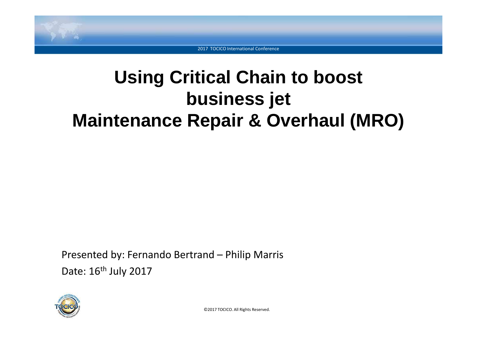

# **Using Critical Chain to boostbusiness jetMaintenance Repair & Overhaul (MRO)**

Presented by: Fernando Bertrand – Philip Marris Date: 16<sup>th</sup> July 2017

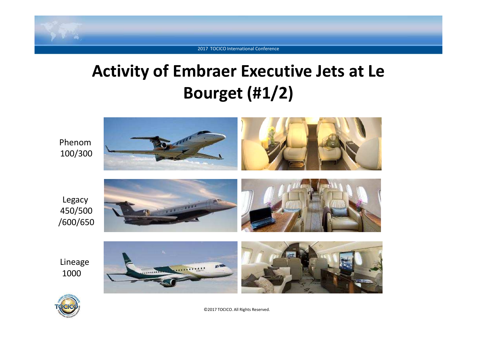

### **Activity of Embraer Executive Jets at Le Bourget (#1/2)**



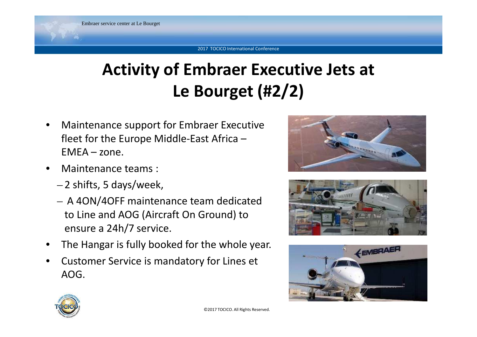### **Activity of Embraer Executive Jets at Le Bourget (#2/2)**

- • Maintenance support for Embraer Executive fleet for the Europe Middle-East Africa – $EMFA - zone.$
- • Maintenance teams :
	- –2 shifts, 5 days/week,
	- – A 4ON/4OFF maintenance team dedicated to Line and AOG (Aircraft On Ground) to ensure a 24h/7 service.
- •The Hangar is fully booked for the whole year.
- • Customer Service is mandatory for Lines et AOG.







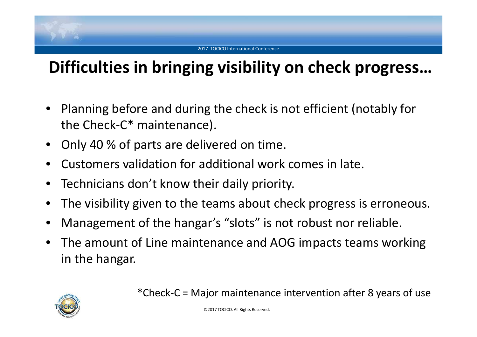## **Difficulties in bringing visibility on check progress…**

- • Planning before and during the check is not efficient (notably for the Check-C\* maintenance).
- •Only 40 % of parts are delivered on time.
- •Customers validation for additional work comes in late.
- $\bullet$ Technicians don't know their daily priority.
- •The visibility given to the teams about check progress is erroneous.
- •Management of the hangar's "slots" is not robust nor reliable.
- • The amount of Line maintenance and AOG impacts teams working in the hangar.



\*Check-C = Major maintenance intervention after 8 years of use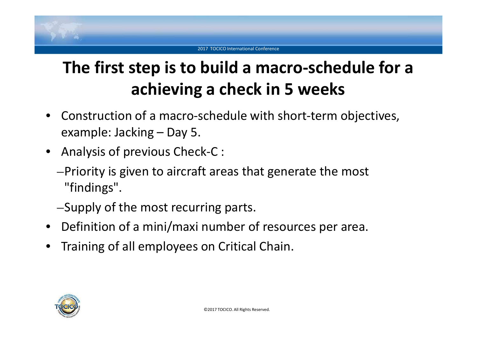# **The first step is to build a macro-schedule for a achieving a check in 5 weeks**

- Construction of a macro-schedule with short-term objectives, example: Jacking – Day 5.
- Analysis of previous Check-C :
	- –Priority is given to aircraft areas that generate the most "findings".
	- –Supply of the most recurring parts.
- Definition of a mini/maxi number of resources per area.
- •Training of all employees on Critical Chain.

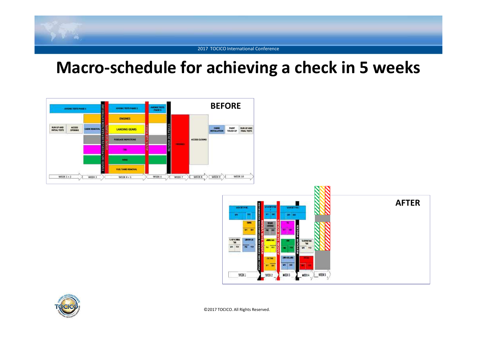# 2017 TOCICO International Conference

### **Macro-schedule for achieving a check in 5 weeks**





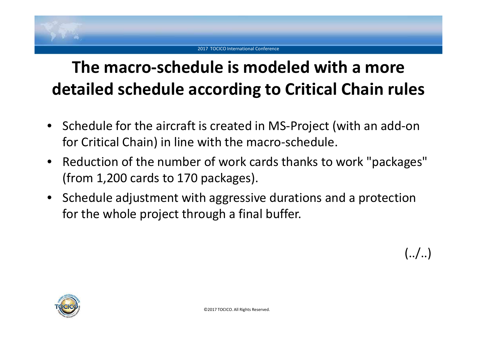### **The macro-schedule is modeled with a more detailed schedule according to Critical Chain rules**

- Schedule for the aircraft is created in MS-Project (with an add-on for Critical Chain) in line with the macro-schedule.
- Reduction of the number of work cards thanks to work "packages" (from 1,200 cards to 170 packages).
- $\bullet$  Schedule adjustment with aggressive durations and a protection for the whole project through a final buffer.





 $(../..)$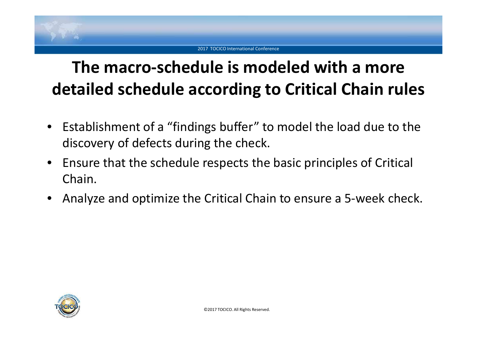### **The macro-schedule is modeled with a more detailed schedule according to Critical Chain rules**

- $\bullet$  Establishment of a "findings buffer" to model the load due to the discovery of defects during the check.
- $\bullet$  Ensure that the schedule respects the basic principles of Critical Chain.
- •Analyze and optimize the Critical Chain to ensure a 5-week check.

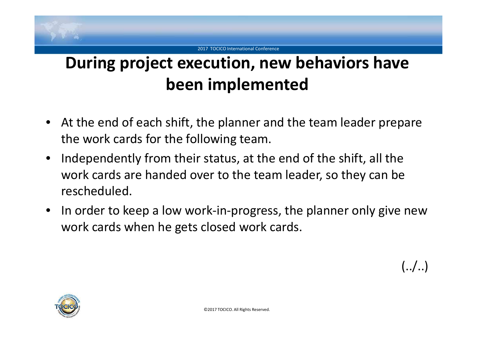

## **During project execution, new behaviors have been implemented**

- At the end of each shift, the planner and the team leader prepare the work cards for the following team.
- • Independently from their status, at the end of the shift, all the work cards are handed over to the team leader, so they can be rescheduled.
- In order to keep a low work-in-progress, the planner only give new work cards when he gets closed work cards.

 $(../.)$ 

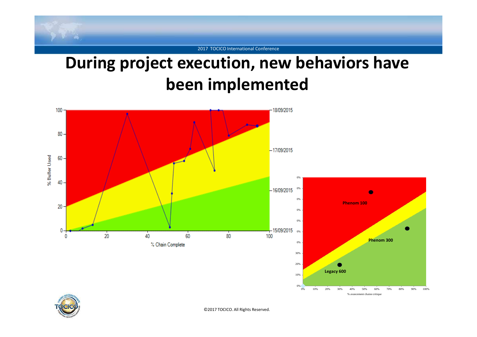

### **During project execution, new behaviors have been implemented**

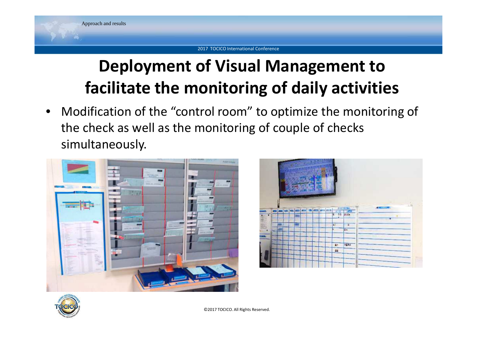## **Deployment of Visual Management to facilitate the monitoring of daily activities**

• Modification of the "control room" to optimize the monitoring of the check as well as the monitoring of couple of checks simultaneously.





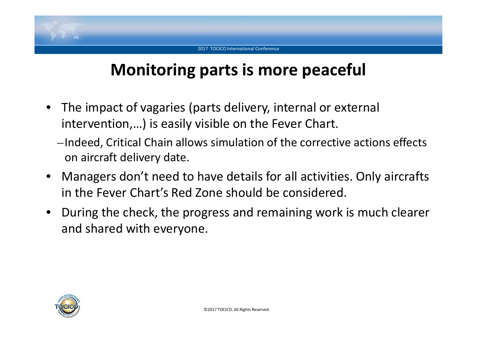### **Monitoring parts is more peaceful**

- $\bullet$  The impact of vagaries (parts delivery, internal or external intervention,…) is easily visible on the Fever Chart.
	- –Indeed, Critical Chain allows simulation of the corrective actions effects on aircraft delivery date.
- Managers don't need to have details for all activities. Only aircrafts in the Fever Chart's Red Zone should be considered.
- During the check, the progress and remaining work is much clearer and shared with everyone.

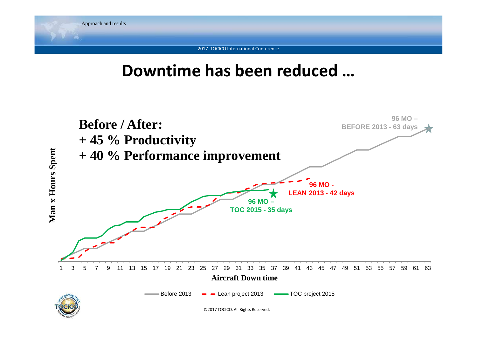

# **Downtime has been reduced …**

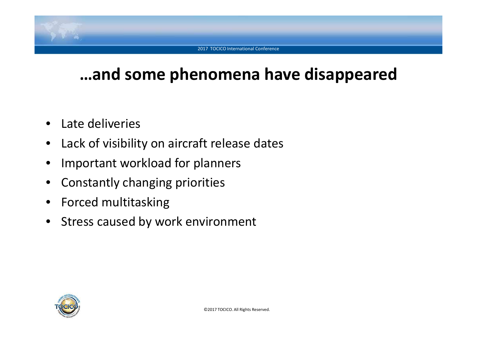### **…and some phenomena have disappeared**

- •Late deliveries
- $\bullet$ Lack of visibility on aircraft release dates
- •Important workload for planners
- $\bullet$ Constantly changing priorities
- Forced multitasking
- $\bullet$ Stress caused by work environment

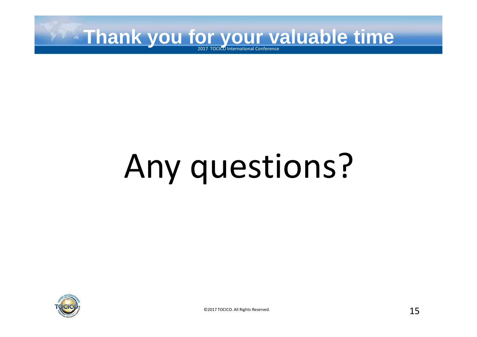

# Any questions?

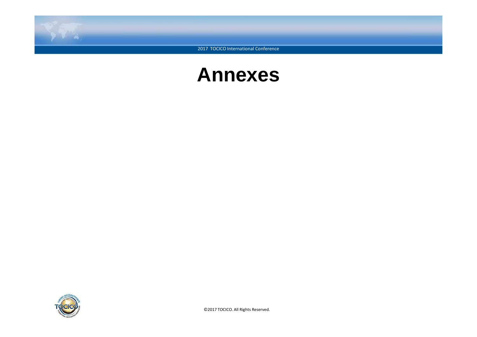

### **Annexes**

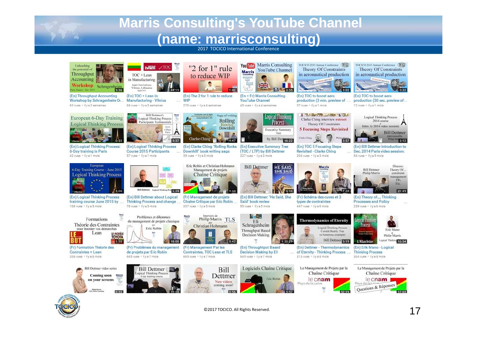### **Marris Consulting's YouTube Channel(name: marrisconsulting)**

2017 TOCICO International Conference



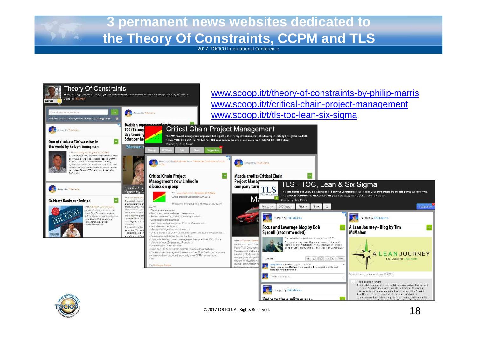

2017 TOCICO International Conference





©2017 TOCICO. All Rights Reserved.

Kudos to the quality gurus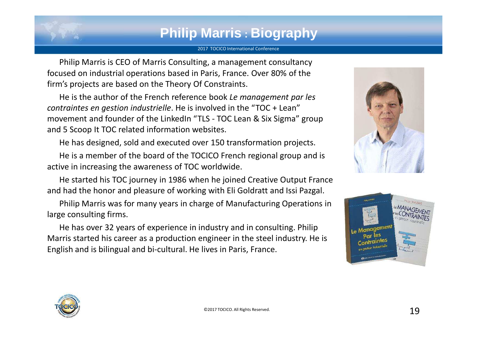### **Philip Marris : Biography**

#### 2017 TOCICO International Conference

Philip Marris is CEO of Marris Consulting, a management consultancy focused on industrial operations based in Paris, France. Over 80% of the firm's projects are based on the Theory Of Constraints.

He is the author of the French reference book *Le management par les contraintes en gestion industrielle*. He is involved in the "TOC + Lean" movement and founder of the LinkedIn "TLS - TOC Lean & Six Sigma" group and 5 Scoop It TOC related information websites.

He has designed, sold and executed over 150 transformation projects.

He is a member of the board of the TOCICO French regional group and is active in increasing the awareness of TOC worldwide.

He started his TOC journey in 1986 when he joined Creative Output France and had the honor and pleasure of working with Eli Goldratt and Issi Pazgal.

Philip Marris was for many years in charge of Manufacturing Operations in large consulting firms.

He has over 32 years of experience in industry and in consulting. Philip Marris started his career as a production engineer in the steel industry. He is English and is bilingual and bi-cultural. He lives in Paris, France.





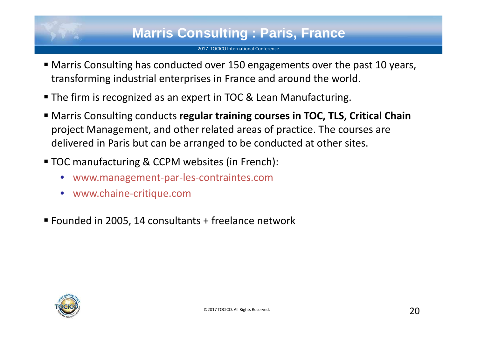### **Marris Consulting : Paris, France**

- Marris Consulting has conducted over 150 engagements over the past 10 years, transforming industrial enterprises in France and around the world.
- The firm is recognized as an expert in TOC & Lean Manufacturing.
- Marris Consulting conducts **regular training courses in TOC, TLS, Critical Chain**  project Management, and other related areas of practice. The courses are delivered in Paris but can be arranged to be conducted at other sites.
- TOC manufacturing & CCPM websites (in French):
	- •www.management-par-les-contraintes.com
	- •www.chaine-critique.com
- Founded in 2005, 14 consultants + freelance network

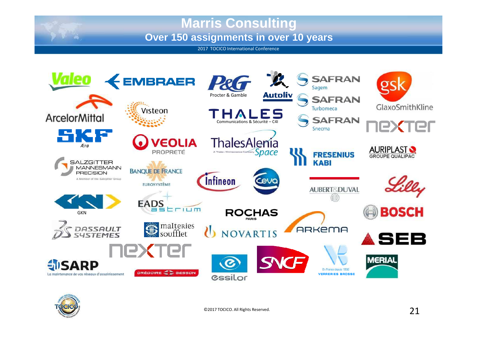### **Marris ConsultingOver 150 assignments in over 10 years**

2017 TOCICO International Conference